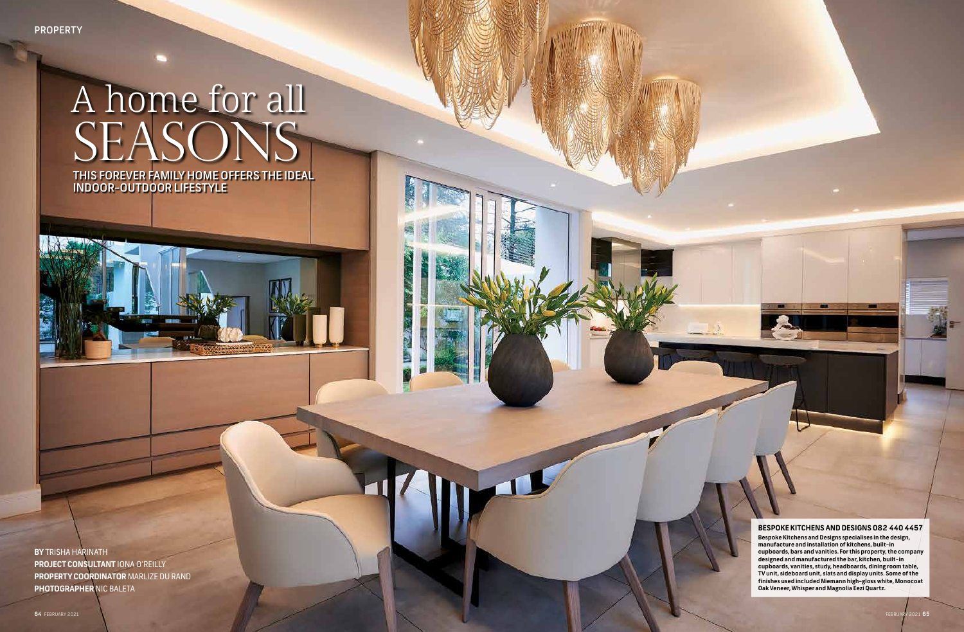### **BESPOKE KITCHENS AND DESIGNS 082 440 4457**

**Bespoke Kitchens and Designs specialises in the design, manufacture and installation of kitchens, built-in cupboards, bars and vanities. For this property, the company designed and manufactured the bar, kitchen, built-in cupboards, vanities, study, headboards, dining room table, TV unit, sideboard unit, slats and display units. Some of the finishes used included Niemann high-gloss white, Monocoat Oak Veneer, Whisper and Magnolia Eezi Quartz.**

# SEASONS A home for all

THIS FOREVER FAMILY HOME OFFERS THE IDEAL INDOOR-OUTDOOR LIFESTYLE

**BY** TRISHA HARINATH **PROJECT CONSULTANT** IONA O'REILLY **PROPERTY COORDINATOR** MARLIZE DU RAND **PHOTOGRAPHER** NIC BALETA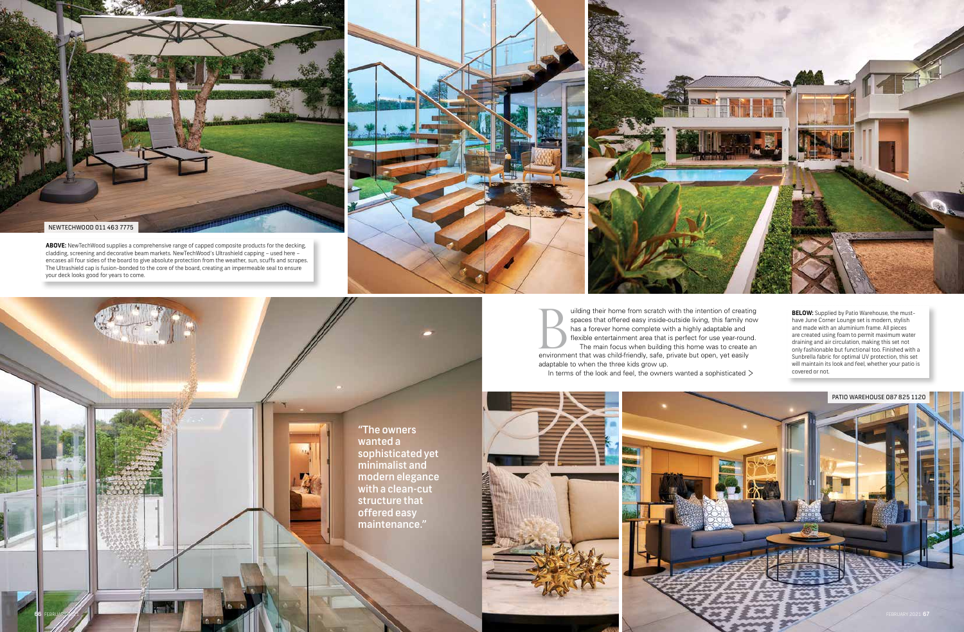adaptable to when the three kids grow up.

In terms of the look and feel, the owners wanted a sophisticated  $\geq$ 





**BELOW:** Supplied by Patio Warehouse, the musthave June Corner Lounge set is modern, stylish and made with an aluminium frame. All pieces are created using foam to permit maximum water draining and air circulation, making this set not only fashionable but functional too. Finished with a Sunbrella fabric for optimal UV protection, this set will maintain its look and feel, whether your patio is covered or not.

**ABOVE:** NewTechWood supplies a comprehensive range of capped composite products for the decking, cladding, screening and decorative beam markets. NewTechWood's Ultrashield capping – used here – encases all four sides of the board to give absolute protection from the weather, sun, scuffs and scrapes. The Ultrashield cap is fusion-bonded to the core of the board, creating an impermeable seal to ensure your deck looks good for years to come.





uilding their home from scratch with the intention of creating spaces that offered easy inside-outside living, this family now has a forever home complete with a highly adaptable and flexible entertainment area that is perfect for use year-round. The main focus when building this home was to create an uilding their home from scratch with the intention of creating spaces that offered easy inside-outside living, this family no has a forever home complete with a highly adaptable and flexible entertainment area that is perf

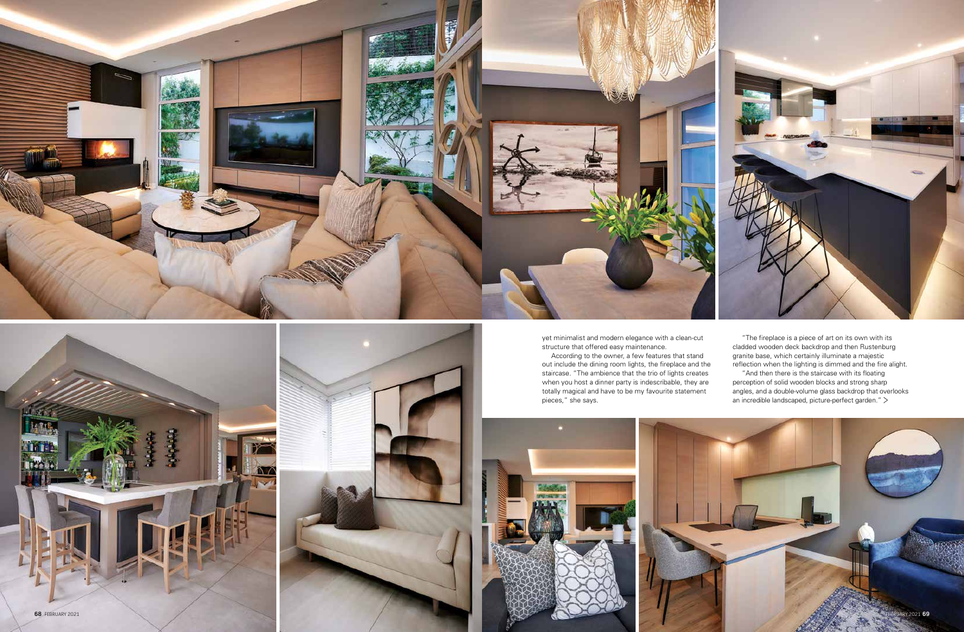



yet minimalist and modern elegance with a clean-cut structure that offered easy maintenance.

According to the owner, a few features that stand out include the dining room lights, the fireplace and the staircase. "The ambience that the trio of lights creates when you host a dinner party is indescribable, they are totally magical and have to be my favourite statement pieces," she says.



"And then there is the staircase with its floating perception of solid wooden blocks and strong sharp angles, and a double-volume glass backdrop that overlooks an incredible landscaped, picture-perfect garden." >



"The fireplace is a piece of art on its own with its cladded wooden deck backdrop and then Rustenburg granite base, which certainly illuminate a majestic reflection when the lighting is dimmed and the fire alight.